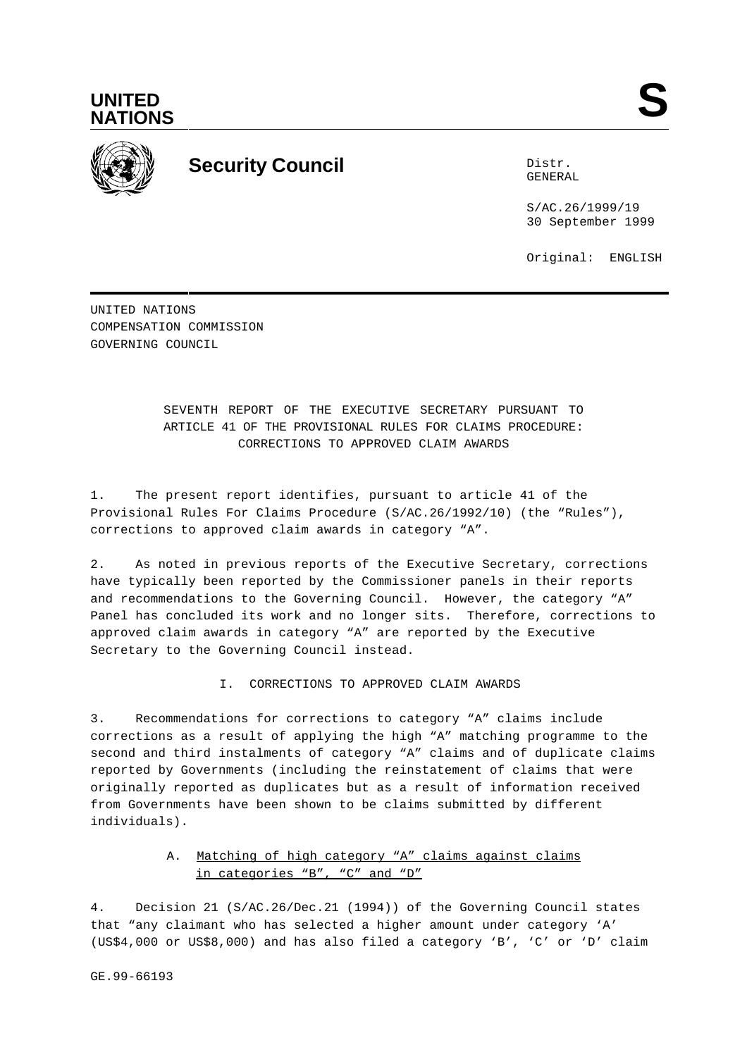



# **Security Council** Distribution of the Distribution of the Distribution of the Distribution of the Distribution of the Distribution of the Distribution of the Distribution of the Distribution of the Distribution of the Dis

GENERAL

S/AC.26/1999/19 30 September 1999

Original: ENGLISH

UNITED NATIONS COMPENSATION COMMISSION GOVERNING COUNCIL

> SEVENTH REPORT OF THE EXECUTIVE SECRETARY PURSUANT TO ARTICLE 41 OF THE PROVISIONAL RULES FOR CLAIMS PROCEDURE: CORRECTIONS TO APPROVED CLAIM AWARDS

1. The present report identifies, pursuant to article 41 of the Provisional Rules For Claims Procedure (S/AC.26/1992/10) (the "Rules"), corrections to approved claim awards in category "A".

2. As noted in previous reports of the Executive Secretary, corrections have typically been reported by the Commissioner panels in their reports and recommendations to the Governing Council. However, the category "A" Panel has concluded its work and no longer sits. Therefore, corrections to approved claim awards in category "A" are reported by the Executive Secretary to the Governing Council instead.

I. CORRECTIONS TO APPROVED CLAIM AWARDS

3. Recommendations for corrections to category "A" claims include corrections as a result of applying the high "A" matching programme to the second and third instalments of category "A" claims and of duplicate claims reported by Governments (including the reinstatement of claims that were originally reported as duplicates but as a result of information received from Governments have been shown to be claims submitted by different individuals).

## A. Matching of high category "A" claims against claims in categories "B", "C" and "D"

4. Decision 21 (S/AC.26/Dec.21 (1994)) of the Governing Council states that "any claimant who has selected a higher amount under category 'A' (US\$4,000 or US\$8,000) and has also filed a category 'B', 'C' or 'D' claim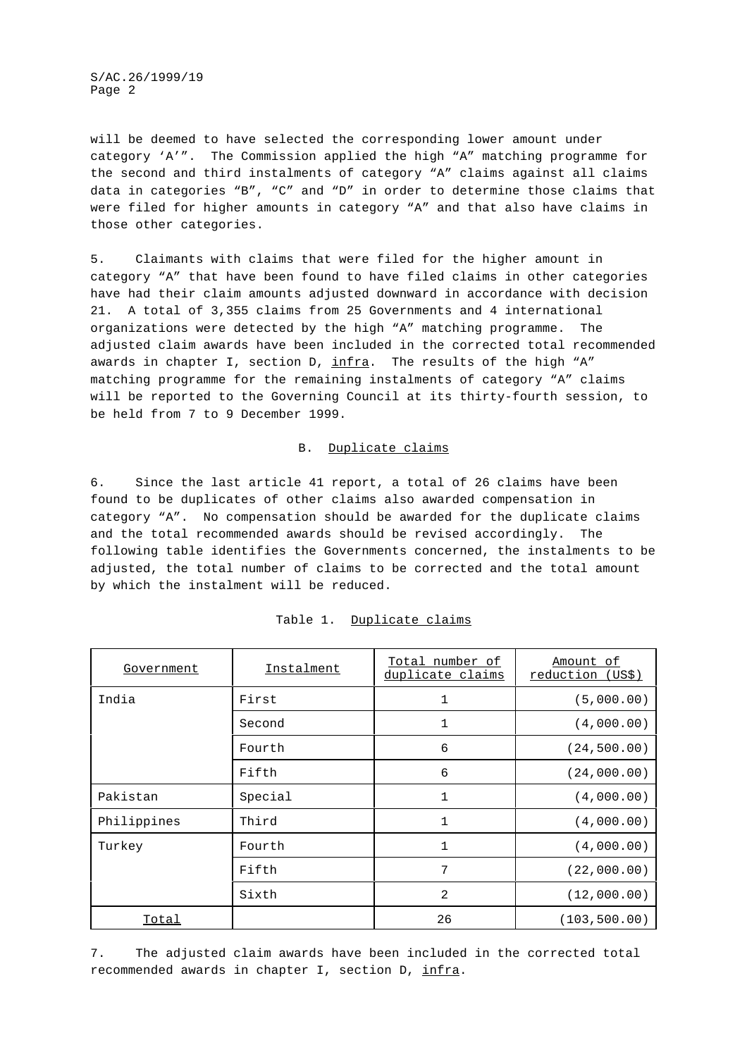S/AC.26/1999/19 Page 2

will be deemed to have selected the corresponding lower amount under category 'A'". The Commission applied the high "A" matching programme for the second and third instalments of category "A" claims against all claims data in categories "B", "C" and "D" in order to determine those claims that were filed for higher amounts in category "A" and that also have claims in those other categories.

5. Claimants with claims that were filed for the higher amount in category "A" that have been found to have filed claims in other categories have had their claim amounts adjusted downward in accordance with decision 21. A total of 3,355 claims from 25 Governments and 4 international organizations were detected by the high "A" matching programme. The adjusted claim awards have been included in the corrected total recommended awards in chapter I, section D,  $\inf$ ra. The results of the high "A" matching programme for the remaining instalments of category "A" claims will be reported to the Governing Council at its thirty-fourth session, to be held from 7 to 9 December 1999.

#### B. Duplicate claims

6. Since the last article 41 report, a total of 26 claims have been found to be duplicates of other claims also awarded compensation in category "A". No compensation should be awarded for the duplicate claims and the total recommended awards should be revised accordingly. The following table identifies the Governments concerned, the instalments to be adjusted, the total number of claims to be corrected and the total amount by which the instalment will be reduced.

| Government   | Instalment | Total number of<br>duplicate claims | Amount of<br>reduction (US\$) |
|--------------|------------|-------------------------------------|-------------------------------|
| India        | First      | $\mathbf{1}$                        | (5,000.00)                    |
|              | Second     | 1                                   | (4,000.00)                    |
|              | Fourth     | 6                                   | (24, 500.00)                  |
|              | Fifth      | 6                                   | (24,000.00)                   |
| Pakistan     | Special    | $\mathbf{1}$                        | (4,000.00)                    |
| Philippines  | Third      | $\mathbf{1}$                        | (4,000.00)                    |
| Turkey       | Fourth     | $\mathbf{1}$                        | (4,000.00)                    |
|              | Fifth      | 7                                   | (22,000.00)                   |
|              | Sixth      | 2                                   | (12,000.00)                   |
| <b>Total</b> |            | 26                                  | (103, 500.00)                 |

#### Table 1. Duplicate claims

7. The adjusted claim awards have been included in the corrected total recommended awards in chapter I, section D, infra.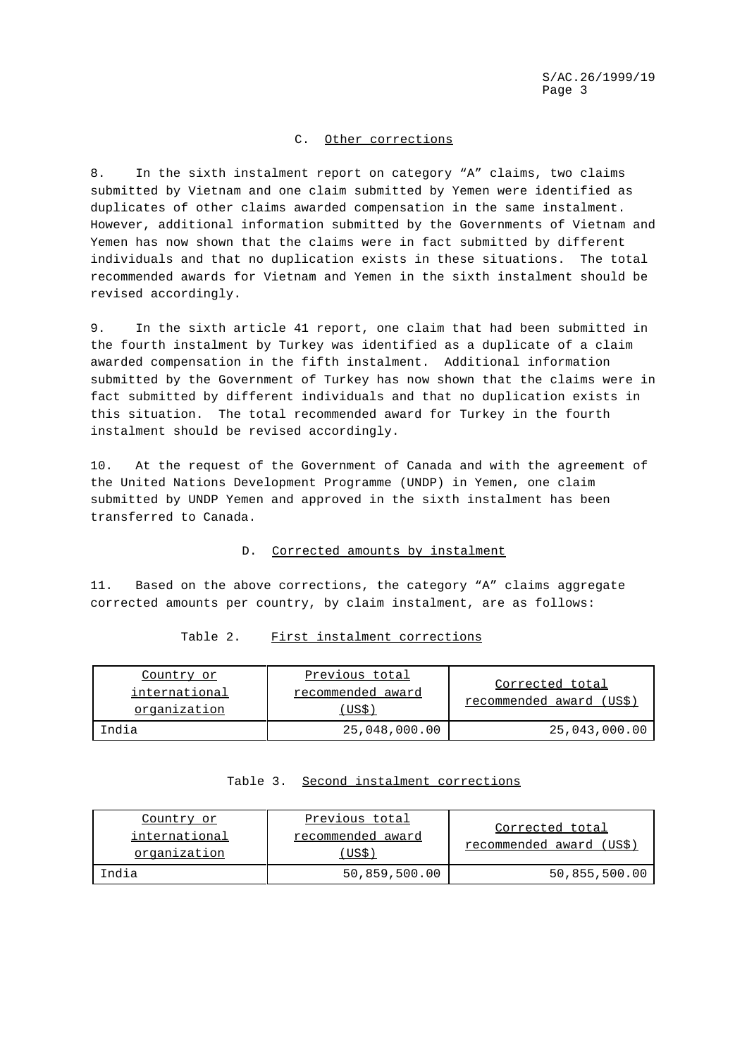#### C. Other corrections

8. In the sixth instalment report on category "A" claims, two claims submitted by Vietnam and one claim submitted by Yemen were identified as duplicates of other claims awarded compensation in the same instalment. However, additional information submitted by the Governments of Vietnam and Yemen has now shown that the claims were in fact submitted by different individuals and that no duplication exists in these situations. The total recommended awards for Vietnam and Yemen in the sixth instalment should be revised accordingly.

9. In the sixth article 41 report, one claim that had been submitted in the fourth instalment by Turkey was identified as a duplicate of a claim awarded compensation in the fifth instalment. Additional information submitted by the Government of Turkey has now shown that the claims were in fact submitted by different individuals and that no duplication exists in this situation. The total recommended award for Turkey in the fourth instalment should be revised accordingly.

10. At the request of the Government of Canada and with the agreement of the United Nations Development Programme (UNDP) in Yemen, one claim submitted by UNDP Yemen and approved in the sixth instalment has been transferred to Canada.

## D. Corrected amounts by instalment

11. Based on the above corrections, the category "A" claims aggregate corrected amounts per country, by claim instalment, are as follows:

#### Table 2. First instalment corrections

| Country or<br>international<br>organization | Previous total<br>recommended award<br>US\$) | Corrected total<br>recommended award (US\$) |
|---------------------------------------------|----------------------------------------------|---------------------------------------------|
| India                                       | 25,048,000.00                                | 25,043,000.00                               |

| Table 3. |  | Second instalment corrections |
|----------|--|-------------------------------|
|          |  |                               |

| Country or                    | Previous total             |                                             |
|-------------------------------|----------------------------|---------------------------------------------|
| international<br>organization | recommended award<br>US\$) | Corrected total<br>recommended award (US\$) |
| India                         | 50,859,500.00              | 50,855,500.00                               |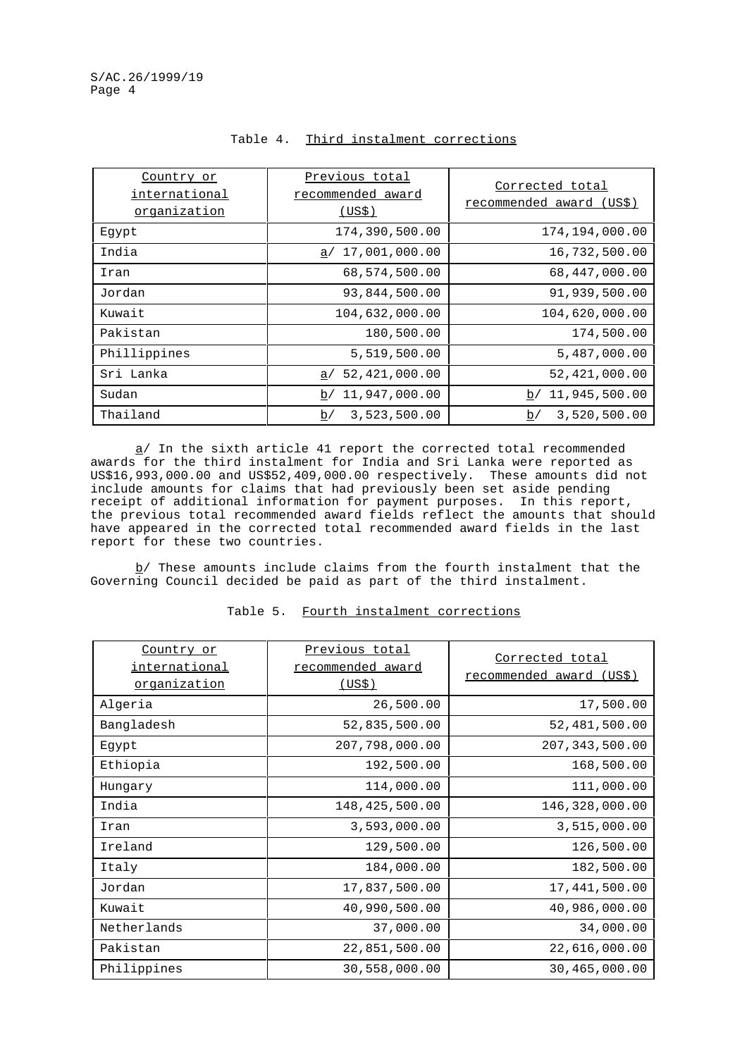| Country or<br>international<br>organization | Previous total<br>recommended award<br>(US\$) | Corrected total<br>recommended award (US\$) |
|---------------------------------------------|-----------------------------------------------|---------------------------------------------|
| Egypt                                       | 174,390,500.00                                | 174,194,000.00                              |
| India                                       | a/17,001,000.00                               | 16,732,500.00                               |
| Iran                                        | 68,574,500.00                                 | 68,447,000.00                               |
| Jordan                                      | 93,844,500.00                                 | 91,939,500.00                               |
| Kuwait                                      | 104,632,000.00                                | 104,620,000.00                              |
| Pakistan                                    | 180,500.00                                    | 174,500.00                                  |
| Phillippines                                | 5,519,500.00                                  | 5,487,000.00                                |
| Sri Lanka                                   | 52,421,000.00<br>a/                           | 52,421,000.00                               |
| Sudan                                       | 11,947,000.00<br>b/                           | 11,945,500.00<br>b/                         |
| Thailand                                    | 3,523,500.00<br>b/                            | 3,520,500.00<br>b/                          |

### Table 4. Third instalment corrections

a/ In the sixth article 41 report the corrected total recommended awards for the third instalment for India and Sri Lanka were reported as US\$16,993,000.00 and US\$52,409,000.00 respectively. These amounts did not include amounts for claims that had previously been set aside pending receipt of additional information for payment purposes. In this report, the previous total recommended award fields reflect the amounts that should have appeared in the corrected total recommended award fields in the last report for these two countries.

 $b/$  These amounts include claims from the fourth instalment that the Governing Council decided be paid as part of the third instalment.

| Country or<br><u>international</u><br><u>organization</u> | Previous total<br>recommended award<br><u>(US\$)</u> | Corrected total<br><u>recommended award (US\$)</u> |
|-----------------------------------------------------------|------------------------------------------------------|----------------------------------------------------|
| Algeria                                                   | 26,500.00                                            | 17,500.00                                          |
| Bangladesh                                                | 52,835,500.00                                        | 52,481,500.00                                      |
| Egypt                                                     | 207,798,000.00                                       | 207, 343, 500.00                                   |
| Ethiopia                                                  | 192,500.00                                           | 168,500.00                                         |
| Hungary                                                   | 114,000.00                                           | 111,000.00                                         |
| India                                                     | 148,425,500.00                                       | 146,328,000.00                                     |
| Iran                                                      | 3,593,000.00                                         | 3,515,000.00                                       |
| Ireland                                                   | 129,500.00                                           | 126,500.00                                         |
| Italy                                                     | 184,000.00                                           | 182,500.00                                         |
| Jordan                                                    | 17,837,500.00                                        | 17,441,500.00                                      |
| Kuwait                                                    | 40,990,500.00                                        | 40,986,000.00                                      |
| Netherlands                                               | 37,000.00                                            | 34,000.00                                          |
| Pakistan                                                  | 22,851,500.00                                        | 22,616,000.00                                      |
| Philippines                                               | 30,558,000.00                                        | 30,465,000.00                                      |

## Table 5. Fourth instalment corrections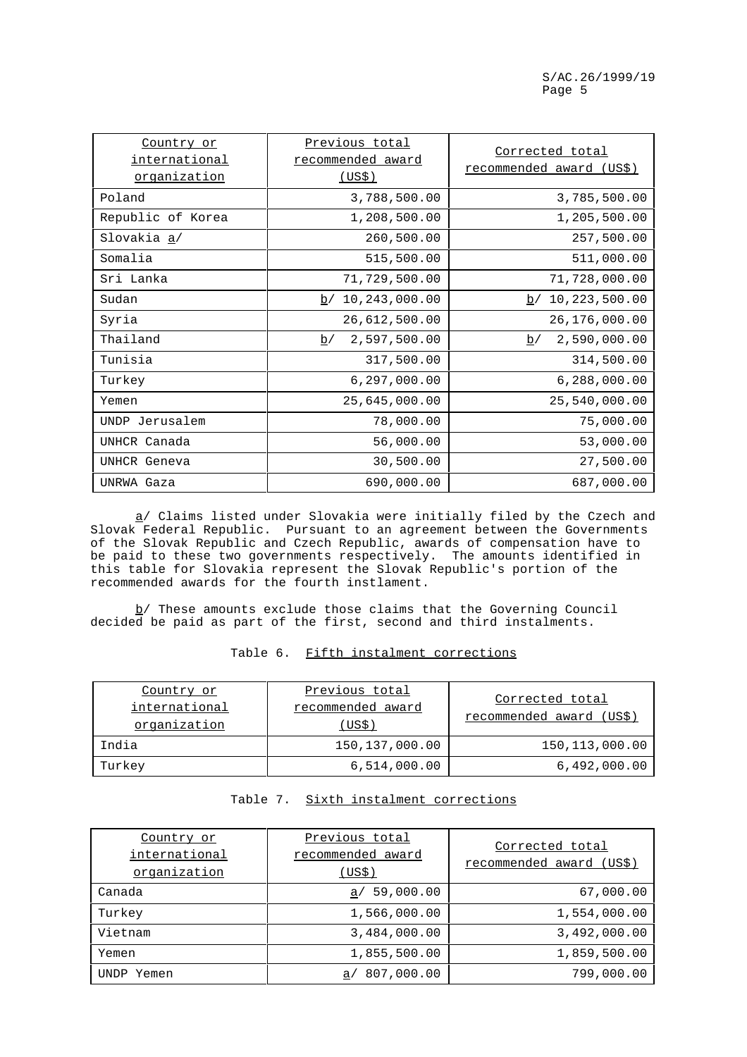| Country or<br><u>international</u><br><u>organization</u> | Previous total<br>recommended award<br>(USS) | Corrected total<br>recommended award (US\$) |
|-----------------------------------------------------------|----------------------------------------------|---------------------------------------------|
| Poland                                                    | 3,788,500.00                                 | 3,785,500.00                                |
| Republic of Korea                                         | 1,208,500.00                                 | 1,205,500.00                                |
| Slovakia a/                                               | 260,500.00                                   | 257,500.00                                  |
| Somalia                                                   | 515,500.00                                   | 511,000.00                                  |
| Sri Lanka                                                 | 71,729,500.00                                | 71,728,000.00                               |
| Sudan                                                     | b/10, 243, 000.00                            | b/10,223,500.00                             |
| Syria                                                     | 26,612,500.00                                | 26,176,000.00                               |
| Thailand                                                  | 2,597,500.00<br>b/                           | 2,590,000.00<br>$\underline{b}/$            |
| Tunisia                                                   | 317,500.00                                   | 314,500.00                                  |
| Turkey                                                    | 6, 297, 000.00                               | 6, 288, 000.00                              |
| Yemen                                                     | 25,645,000.00                                | 25,540,000.00                               |
| UNDP Jerusalem                                            | 78,000.00                                    | 75,000.00                                   |
| UNHCR Canada                                              | 56,000.00                                    | 53,000.00                                   |
| UNHCR Geneva                                              | 30,500.00                                    | 27,500.00                                   |
| UNRWA Gaza                                                | 690,000.00                                   | 687,000.00                                  |

a/ Claims listed under Slovakia were initially filed by the Czech and Slovak Federal Republic. Pursuant to an agreement between the Governments of the Slovak Republic and Czech Republic, awards of compensation have to be paid to these two governments respectively. The amounts identified in this table for Slovakia represent the Slovak Republic's portion of the recommended awards for the fourth instlament.

b/ These amounts exclude those claims that the Governing Council decided be paid as part of the first, second and third instalments.

| Country or<br>international<br>organization | Previous total<br>recommended award<br>(USS) | Corrected total<br>recommended award (US\$) |
|---------------------------------------------|----------------------------------------------|---------------------------------------------|
| India                                       | 150,137,000.00                               | 150, 113, 000.00                            |
| Turkey                                      | 6,514,000.00                                 | 6,492,000.00                                |

## Table 6. Fifth instalment corrections

## Table 7. Sixth instalment corrections

| Country or<br>international<br>organization | Previous total<br>recommended award<br>(US\$) | Corrected total<br>recommended award (US\$) |
|---------------------------------------------|-----------------------------------------------|---------------------------------------------|
| Canada                                      | 59,000.00<br>a/                               | 67,000.00                                   |
| Turkey                                      | 1,566,000.00                                  | 1,554,000.00                                |
| Vietnam                                     | 3,484,000.00                                  | 3,492,000.00                                |
| Yemen                                       | 1,855,500.00                                  | 1,859,500.00                                |
| UNDP Yemen                                  | 807,000.00<br>a <sub>1</sub>                  | 799,000.00                                  |